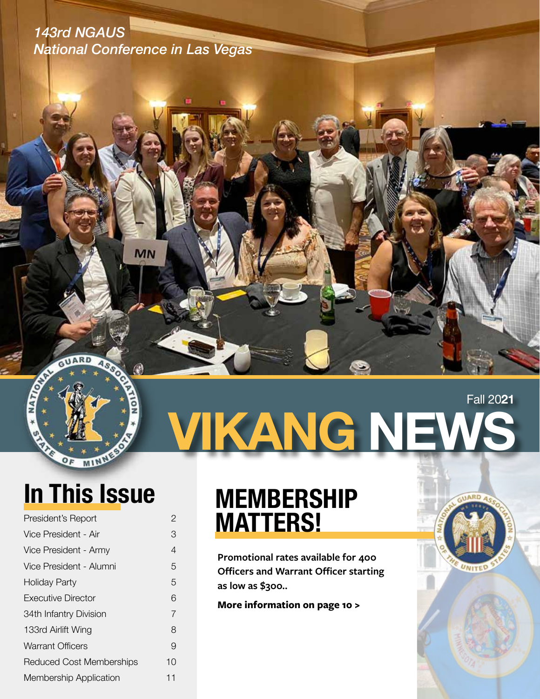*143rd NGAUS National Conference in Las Vegas*

**MN** 

#### MINN  $O_F$ **In This Issue**

| President's Report              | 2  |
|---------------------------------|----|
| Vice President - Air            | 3  |
| Vice President - Army           | 4  |
| Vice President - Alumni         | 5  |
| <b>Holiday Party</b>            | 5  |
| <b>Executive Director</b>       | 6  |
| 34th Infantry Division          | 7  |
| 133rd Airlift Wing              | 8  |
| <b>Warrant Officers</b>         | 9  |
| <b>Reduced Cost Memberships</b> | 10 |
| <b>Membership Application</b>   | 11 |

# **VIKANG NEWS** Fall 20**21**

### **MEMBERSHIP MATTERS!**

**Promotional rates available for 400 Officers and Warrant Officer starting as low as \$300..**

**More information on page 10 >**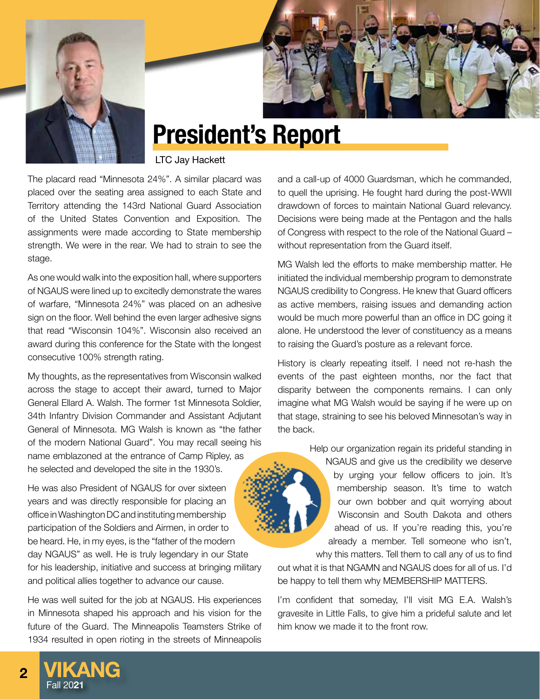



### **President's Report**

LTC Jay Hackett

The placard read "Minnesota 24%". A similar placard was placed over the seating area assigned to each State and Territory attending the 143rd National Guard Association of the United States Convention and Exposition. The assignments were made according to State membership strength. We were in the rear. We had to strain to see the stage.

As one would walk into the exposition hall, where supporters of NGAUS were lined up to excitedly demonstrate the wares of warfare, "Minnesota 24%" was placed on an adhesive sign on the floor. Well behind the even larger adhesive signs that read "Wisconsin 104%". Wisconsin also received an award during this conference for the State with the longest consecutive 100% strength rating.

My thoughts, as the representatives from Wisconsin walked across the stage to accept their award, turned to Major General Ellard A. Walsh. The former 1st Minnesota Soldier, 34th Infantry Division Commander and Assistant Adjutant General of Minnesota. MG Walsh is known as "the father of the modern National Guard". You may recall seeing his name emblazoned at the entrance of Camp Ripley, as he selected and developed the site in the 1930's.

He was also President of NGAUS for over sixteen years and was directly responsible for placing an office in Washington DC and instituting membership participation of the Soldiers and Airmen, in order to be heard. He, in my eyes, is the "father of the modern day NGAUS" as well. He is truly legendary in our State for his leadership, initiative and success at bringing military and political allies together to advance our cause.

He was well suited for the job at NGAUS. His experiences in Minnesota shaped his approach and his vision for the future of the Guard. The Minneapolis Teamsters Strike of 1934 resulted in open rioting in the streets of Minneapolis

and a call-up of 4000 Guardsman, which he commanded, to quell the uprising. He fought hard during the post-WWII drawdown of forces to maintain National Guard relevancy. Decisions were being made at the Pentagon and the halls of Congress with respect to the role of the National Guard – without representation from the Guard itself.

MG Walsh led the efforts to make membership matter. He initiated the individual membership program to demonstrate NGAUS credibility to Congress. He knew that Guard officers as active members, raising issues and demanding action would be much more powerful than an office in DC going it alone. He understood the lever of constituency as a means to raising the Guard's posture as a relevant force.

History is clearly repeating itself. I need not re-hash the events of the past eighteen months, nor the fact that disparity between the components remains. I can only imagine what MG Walsh would be saying if he were up on that stage, straining to see his beloved Minnesotan's way in the back.

Help our organization regain its prideful standing in



NGAUS and give us the credibility we deserve by urging your fellow officers to join. It's membership season. It's time to watch our own bobber and quit worrying about Wisconsin and South Dakota and others ahead of us. If you're reading this, you're already a member. Tell someone who isn't, why this matters. Tell them to call any of us to find

out what it is that NGAMN and NGAUS does for all of us. I'd be happy to tell them why MEMBERSHIP MATTERS.

I'm confident that someday, I'll visit MG E.A. Walsh's gravesite in Little Falls, to give him a prideful salute and let him know we made it to the front row.

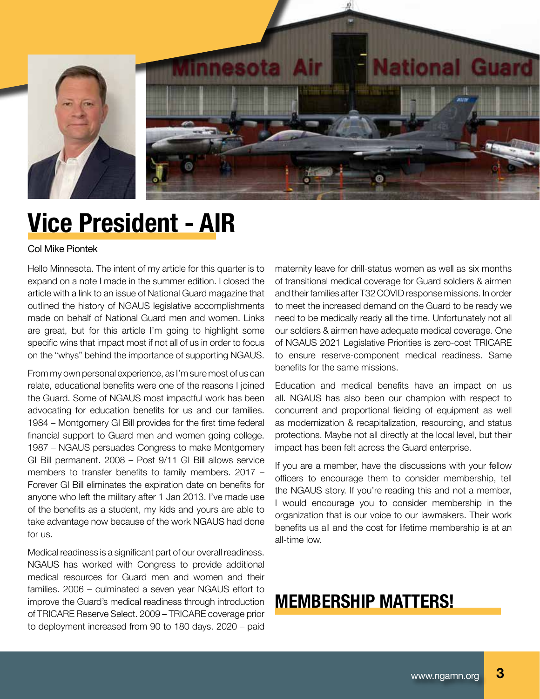

## **Vice President - AIR**

#### Col Mike Piontek

Hello Minnesota. The intent of my article for this quarter is to expand on a note I made in the summer edition. I closed the article with a link to an issue of National Guard magazine that outlined the history of NGAUS legislative accomplishments made on behalf of National Guard men and women. Links are great, but for this article I'm going to highlight some specific wins that impact most if not all of us in order to focus on the "whys" behind the importance of supporting NGAUS.

From my own personal experience, as I'm sure most of us can relate, educational benefits were one of the reasons I joined the Guard. Some of NGAUS most impactful work has been advocating for education benefits for us and our families. 1984 – Montgomery GI Bill provides for the first time federal financial support to Guard men and women going college. 1987 – NGAUS persuades Congress to make Montgomery GI Bill permanent. 2008 – Post 9/11 GI Bill allows service members to transfer benefits to family members. 2017 – Forever GI Bill eliminates the expiration date on benefits for anyone who left the military after 1 Jan 2013. I've made use of the benefits as a student, my kids and yours are able to take advantage now because of the work NGAUS had done for us.

Medical readiness is a significant part of our overall readiness. NGAUS has worked with Congress to provide additional medical resources for Guard men and women and their families. 2006 – culminated a seven year NGAUS effort to improve the Guard's medical readiness through introduction of TRICARE Reserve Select. 2009 – TRICARE coverage prior to deployment increased from 90 to 180 days. 2020 – paid

maternity leave for drill-status women as well as six months of transitional medical coverage for Guard soldiers & airmen and their families after T32 COVID response missions. In order to meet the increased demand on the Guard to be ready we need to be medically ready all the time. Unfortunately not all our soldiers & airmen have adequate medical coverage. One of NGAUS 2021 Legislative Priorities is zero-cost TRICARE to ensure reserve-component medical readiness. Same benefits for the same missions.

Education and medical benefits have an impact on us all. NGAUS has also been our champion with respect to concurrent and proportional fielding of equipment as well as modernization & recapitalization, resourcing, and status protections. Maybe not all directly at the local level, but their impact has been felt across the Guard enterprise.

If you are a member, have the discussions with your fellow officers to encourage them to consider membership, tell the NGAUS story. If you're reading this and not a member, I would encourage you to consider membership in the organization that is our voice to our lawmakers. Their work benefits us all and the cost for lifetime membership is at an all-time low.

### **MEMBERSHIP MATTERS!**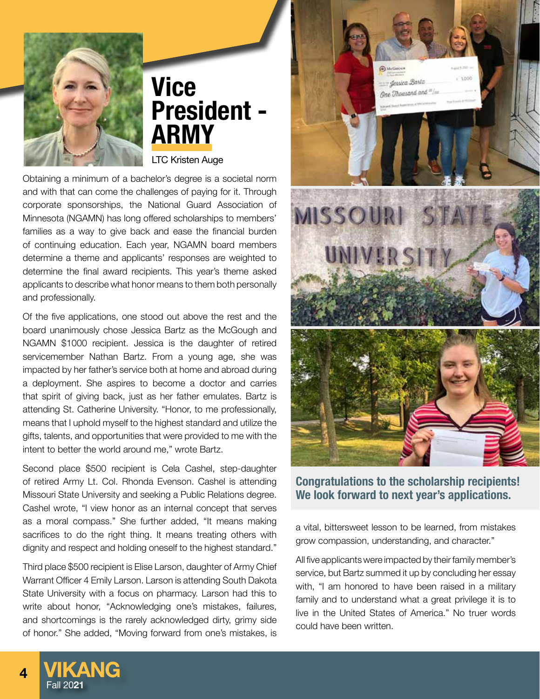

### **Vice President - ARMY**

LTC Kristen Auge

Obtaining a minimum of a bachelor's degree is a societal norm and with that can come the challenges of paying for it. Through corporate sponsorships, the National Guard Association of Minnesota (NGAMN) has long offered scholarships to members' families as a way to give back and ease the financial burden of continuing education. Each year, NGAMN board members determine a theme and applicants' responses are weighted to determine the final award recipients. This year's theme asked applicants to describe what honor means to them both personally and professionally.

Of the five applications, one stood out above the rest and the board unanimously chose Jessica Bartz as the McGough and NGAMN \$1000 recipient. Jessica is the daughter of retired servicemember Nathan Bartz. From a young age, she was impacted by her father's service both at home and abroad during a deployment. She aspires to become a doctor and carries that spirit of giving back, just as her father emulates. Bartz is attending St. Catherine University. "Honor, to me professionally, means that I uphold myself to the highest standard and utilize the gifts, talents, and opportunities that were provided to me with the intent to better the world around me," wrote Bartz.

Second place \$500 recipient is Cela Cashel, step-daughter of retired Army Lt. Col. Rhonda Evenson. Cashel is attending Missouri State University and seeking a Public Relations degree. Cashel wrote, "I view honor as an internal concept that serves as a moral compass." She further added, "It means making sacrifices to do the right thing. It means treating others with dignity and respect and holding oneself to the highest standard."

Third place \$500 recipient is Elise Larson, daughter of Army Chief Warrant Officer 4 Emily Larson. Larson is attending South Dakota State University with a focus on pharmacy. Larson had this to write about honor, "Acknowledging one's mistakes, failures, and shortcomings is the rarely acknowledged dirty, grimy side of honor." She added, "Moving forward from one's mistakes, is



#### **Congratulations to the scholarship recipients! We look forward to next year's applications.**

a vital, bittersweet lesson to be learned, from mistakes grow compassion, understanding, and character."

All five applicants were impacted by their family member's service, but Bartz summed it up by concluding her essay with, "I am honored to have been raised in a military family and to understand what a great privilege it is to live in the United States of America." No truer words could have been written.

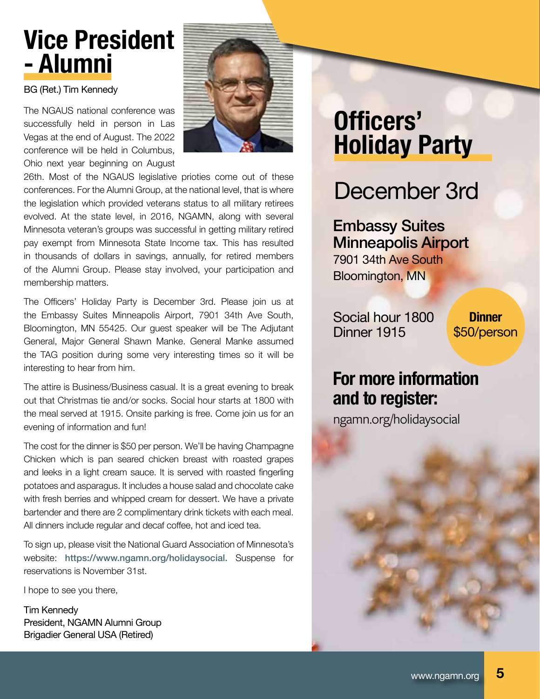### **Vice President - Alumni**

BG (Ret.) Tim Kennedy

The NGAUS national conference was successfully held in person in Las Vegas at the end of August. The 2022 conference will be held in Columbus, Ohio next year beginning on August



26th. Most of the NGAUS legislative prioties come out of these conferences. For the Alumni Group, at the national level, that is where the legislation which provided veterans status to all military retirees evolved. At the state level, in 2016, NGAMN, along with several Minnesota veteran's groups was successful in getting military retired pay exempt from Minnesota State Income tax. This has resulted in thousands of dollars in savings, annually, for retired members of the Alumni Group. Please stay involved, your participation and membership matters.

The Officers' Holiday Party is December 3rd. Please join us at the Embassy Suites Minneapolis Airport, 7901 34th Ave South, Bloomington, MN 55425. Our guest speaker will be The Adjutant General, Major General Shawn Manke. General Manke assumed the TAG position during some very interesting times so it will be interesting to hear from him.

The attire is Business/Business casual. It is a great evening to break out that Christmas tie and/or socks. Social hour starts at 1800 with the meal served at 1915. Onsite parking is free. Come join us for an evening of information and fun!

The cost for the dinner is \$50 per person. We'll be having Champagne Chicken which is pan seared chicken breast with roasted grapes and leeks in a light cream sauce. It is served with roasted fingerling potatoes and asparagus. It includes a house salad and chocolate cake with fresh berries and whipped cream for dessert. We have a private bartender and there are 2 complimentary drink tickets with each meal. All dinners include regular and decaf coffee, hot and iced tea.

To sign up, please visit the National Guard Association of Minnesota's website: https://www.ngamn.org/holidaysocial. Suspense for reservations is November 31st.

I hope to see you there,

Tim Kennedy President, NGAMN Alumni Group Brigadier General USA (Retired)

## **Officers' Holiday Party**

### December 3rd

### Embassy Suites Minneapolis Airport

7901 34th Ave South Bloomington, MN

Social hour 1800 Dinner 1915

**Dinner**  \$50/person

### **For more information and to register:**

ngamn.org/holidaysocial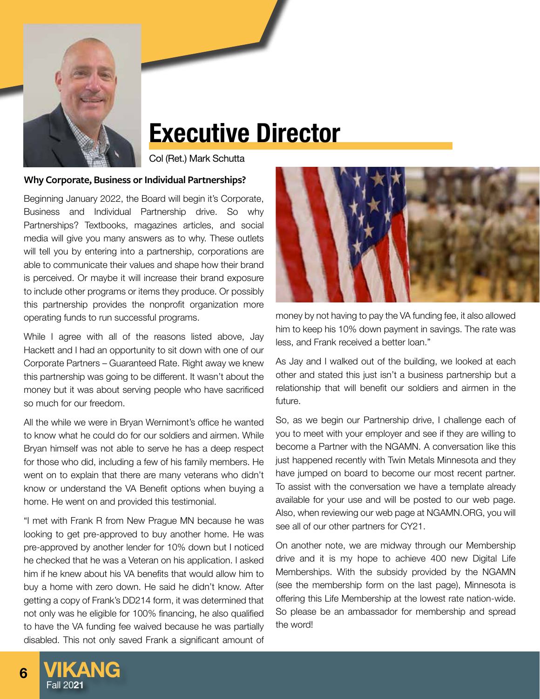

### **Executive Director**

Col (Ret.) Mark Schutta

#### **Why Corporate, Business or Individual Partnerships?**

Beginning January 2022, the Board will begin it's Corporate, Business and Individual Partnership drive. So why Partnerships? Textbooks, magazines articles, and social media will give you many answers as to why. These outlets will tell you by entering into a partnership, corporations are able to communicate their values and shape how their brand is perceived. Or maybe it will increase their brand exposure to include other programs or items they produce. Or possibly this partnership provides the nonprofit organization more operating funds to run successful programs.

While I agree with all of the reasons listed above, Jay Hackett and I had an opportunity to sit down with one of our Corporate Partners – Guaranteed Rate. Right away we knew this partnership was going to be different. It wasn't about the money but it was about serving people who have sacrificed so much for our freedom.

All the while we were in Bryan Wernimont's office he wanted to know what he could do for our soldiers and airmen. While Bryan himself was not able to serve he has a deep respect for those who did, including a few of his family members. He went on to explain that there are many veterans who didn't know or understand the VA Benefit options when buying a home. He went on and provided this testimonial.

"I met with Frank R from New Prague MN because he was looking to get pre-approved to buy another home. He was pre-approved by another lender for 10% down but I noticed he checked that he was a Veteran on his application. I asked him if he knew about his VA benefits that would allow him to buy a home with zero down. He said he didn't know. After getting a copy of Frank's DD214 form, it was determined that not only was he eligible for 100% financing, he also qualified to have the VA funding fee waived because he was partially disabled. This not only saved Frank a significant amount of



money by not having to pay the VA funding fee, it also allowed him to keep his 10% down payment in savings. The rate was less, and Frank received a better loan."

As Jay and I walked out of the building, we looked at each other and stated this just isn't a business partnership but a relationship that will benefit our soldiers and airmen in the future.

So, as we begin our Partnership drive, I challenge each of you to meet with your employer and see if they are willing to become a Partner with the NGAMN. A conversation like this just happened recently with Twin Metals Minnesota and they have jumped on board to become our most recent partner. To assist with the conversation we have a template already available for your use and will be posted to our web page. Also, when reviewing our web page at NGAMN.ORG, you will see all of our other partners for CY21.

On another note, we are midway through our Membership drive and it is my hope to achieve 400 new Digital Life Memberships. With the subsidy provided by the NGAMN (see the membership form on the last page), Minnesota is offering this Life Membership at the lowest rate nation-wide. So please be an ambassador for membership and spread the word!

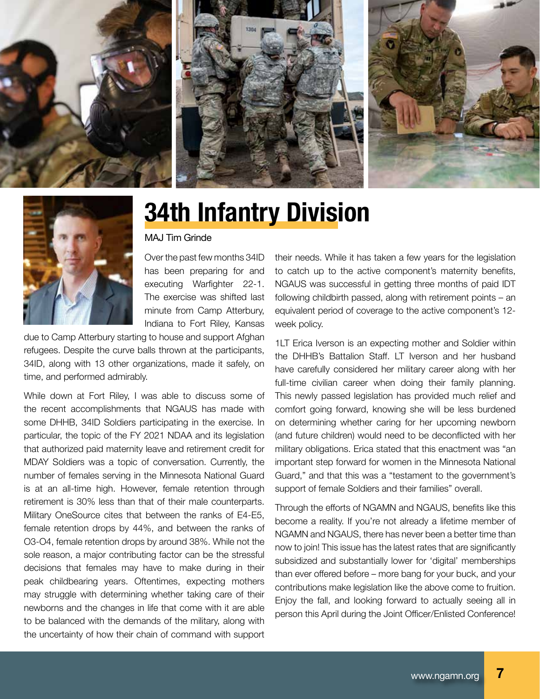





## **34th Infantry Division**

#### MAJ Tim Grinde

Over the past few months 34ID has been preparing for and executing Warfighter 22-1. The exercise was shifted last minute from Camp Atterbury, Indiana to Fort Riley, Kansas

due to Camp Atterbury starting to house and support Afghan refugees. Despite the curve balls thrown at the participants, 34ID, along with 13 other organizations, made it safely, on time, and performed admirably.

While down at Fort Riley, I was able to discuss some of the recent accomplishments that NGAUS has made with some DHHB, 34ID Soldiers participating in the exercise. In particular, the topic of the FY 2021 NDAA and its legislation that authorized paid maternity leave and retirement credit for MDAY Soldiers was a topic of conversation. Currently, the number of females serving in the Minnesota National Guard is at an all-time high. However, female retention through retirement is 30% less than that of their male counterparts. Military OneSource cites that between the ranks of E4-E5, female retention drops by 44%, and between the ranks of O3-O4, female retention drops by around 38%. While not the sole reason, a major contributing factor can be the stressful decisions that females may have to make during in their peak childbearing years. Oftentimes, expecting mothers may struggle with determining whether taking care of their newborns and the changes in life that come with it are able to be balanced with the demands of the military, along with the uncertainty of how their chain of command with support

their needs. While it has taken a few years for the legislation to catch up to the active component's maternity benefits, NGAUS was successful in getting three months of paid IDT following childbirth passed, along with retirement points – an equivalent period of coverage to the active component's 12 week policy.

1LT Erica Iverson is an expecting mother and Soldier within the DHHB's Battalion Staff. LT Iverson and her husband have carefully considered her military career along with her full-time civilian career when doing their family planning. This newly passed legislation has provided much relief and comfort going forward, knowing she will be less burdened on determining whether caring for her upcoming newborn (and future children) would need to be deconflicted with her military obligations. Erica stated that this enactment was "an important step forward for women in the Minnesota National Guard," and that this was a "testament to the government's support of female Soldiers and their families" overall.

Through the efforts of NGAMN and NGAUS, benefits like this become a reality. If you're not already a lifetime member of NGAMN and NGAUS, there has never been a better time than now to join! This issue has the latest rates that are significantly subsidized and substantially lower for 'digital' memberships than ever offered before – more bang for your buck, and your contributions make legislation like the above come to fruition. Enjoy the fall, and looking forward to actually seeing all in person this April during the Joint Officer/Enlisted Conference!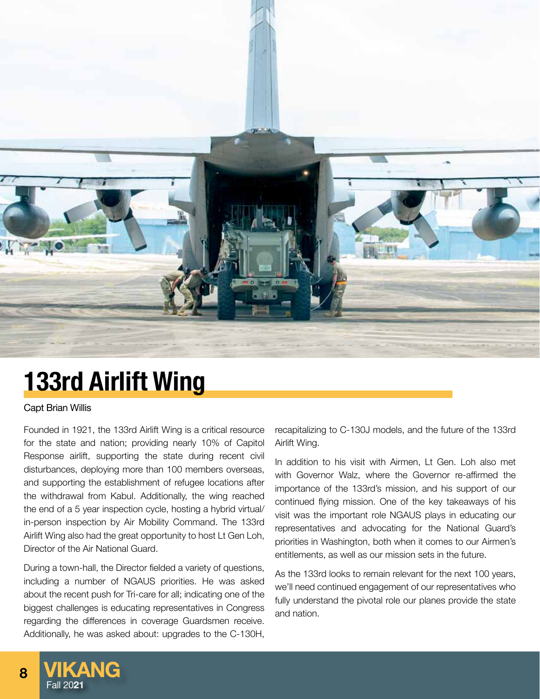

## **133rd Airlift Wing**

#### Capt Brian Willis

Founded in 1921, the 133rd Airlift Wing is a critical resource for the state and nation; providing nearly 10% of Capitol Response airlift, supporting the state during recent civil disturbances, deploying more than 100 members overseas, and supporting the establishment of refugee locations after the withdrawal from Kabul. Additionally, the wing reached the end of a 5 year inspection cycle, hosting a hybrid virtual/ in-person inspection by Air Mobility Command. The 133rd Airlift Wing also had the great opportunity to host Lt Gen Loh, Director of the Air National Guard.

During a town-hall, the Director fielded a variety of questions, including a number of NGAUS priorities. He was asked about the recent push for Tri-care for all; indicating one of the biggest challenges is educating representatives in Congress regarding the differences in coverage Guardsmen receive. Additionally, he was asked about: upgrades to the C-130H,

recapitalizing to C-130J models, and the future of the 133rd Airlift Wing.

In addition to his visit with Airmen, Lt Gen. Loh also met with Governor Walz, where the Governor re-affirmed the importance of the 133rd's mission, and his support of our continued flying mission. One of the key takeaways of his visit was the important role NGAUS plays in educating our representatives and advocating for the National Guard's priorities in Washington, both when it comes to our Airmen's entitlements, as well as our mission sets in the future.

As the 133rd looks to remain relevant for the next 100 years, we'll need continued engagement of our representatives who fully understand the pivotal role our planes provide the state and nation.

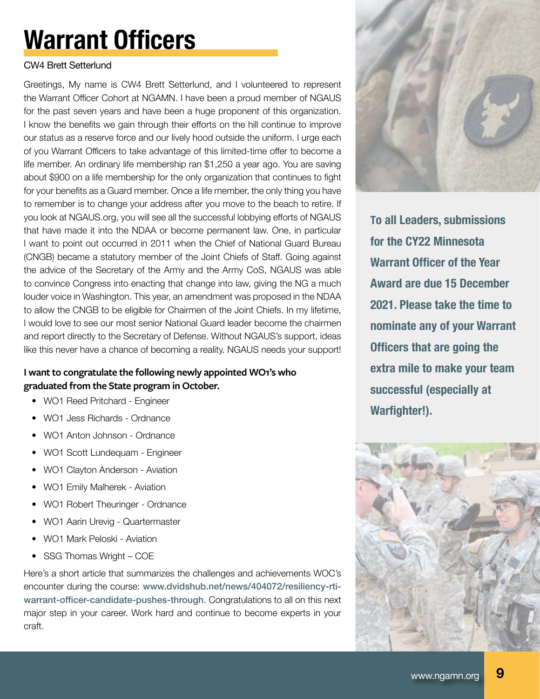## **Warrant Officers**

#### CW4 Brett Setterlund

Greetings, My name is CW4 Brett Setterlund, and I volunteered to represent the Warrant Officer Cohort at NGAMN. I have been a proud member of NGAUS for the past seven years and have been a huge proponent of this organization. I know the benefits we gain through their efforts on the hill continue to improve our status as a reserve force and our lively hood outside the uniform. I urge each of you Warrant Officers to take advantage of this limited-time offer to become a life member. An ordinary life membership ran \$1,250 a year ago. You are saving about \$900 on a life membership for the only organization that continues to fight for your benefits as a Guard member. Once a life member, the only thing you have to remember is to change your address after you move to the beach to retire. If you look at NGAUS.org, you will see all the successful lobbying efforts of NGAUS that have made it into the NDAA or become permanent law. One, in particular I want to point out occurred in 2011 when the Chief of National Guard Bureau (CNGB) became a statutory member of the Joint Chiefs of Staff. Going against the advice of the Secretary of the Army and the Army CoS, NGAUS was able to convince Congress into enacting that change into law, giving the NG a much louder voice in Washington. This year, an amendment was proposed in the NDAA to allow the CNGB to be eligible for Chairmen of the Joint Chiefs. In my lifetime, I would love to see our most senior National Guard leader become the chairmen and report directly to the Secretary of Defense. Without NGAUS's support, ideas like this never have a chance of becoming a reality. NGAUS needs your support!

#### **I want to congratulate the following newly appointed WO1's who graduated from the State program in October.**

- WO1 Reed Pritchard Engineer
- WO1 Jess Richards Ordnance
- WO1 Anton Johnson Ordnance
- WO1 Scott Lundequam Engineer
- WO1 Clayton Anderson Aviation
- WO1 Emily Malherek Aviation
- WO1 Robert Theuringer Ordnance
- WO1 Aarin Urevig Quartermaster
- WO1 Mark Peloski Aviation
- SSG Thomas Wright COE

Here's a short article that summarizes the challenges and achievements WOC's encounter during the course: www.dvidshub.net/news/404072/resiliency-rtiwarrant-officer-candidate-pushes-through. Congratulations to all on this next major step in your career. Work hard and continue to become experts in your craft.



**To all Leaders, submissions for the CY22 Minnesota Warrant Officer of the Year Award are due 15 December 2021. Please take the time to nominate any of your Warrant Officers that are going the extra mile to make your team successful (especially at Warfighter!).**

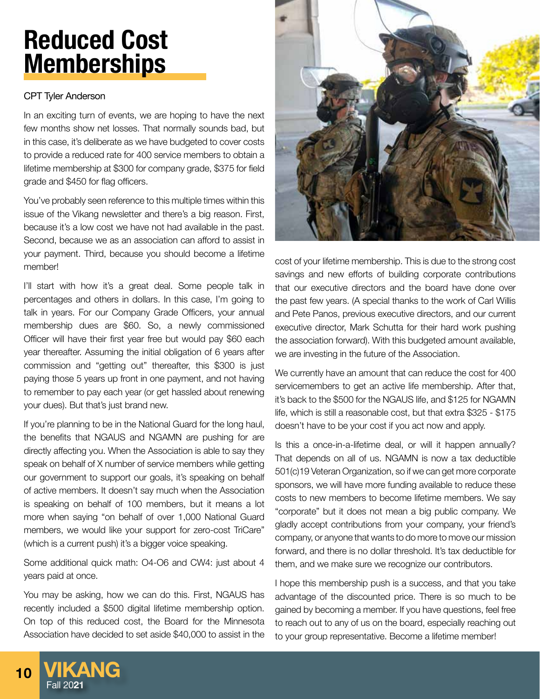### **Reduced Cost Memberships**

#### CPT Tyler Anderson

In an exciting turn of events, we are hoping to have the next few months show net losses. That normally sounds bad, but in this case, it's deliberate as we have budgeted to cover costs to provide a reduced rate for 400 service members to obtain a lifetime membership at \$300 for company grade, \$375 for field grade and \$450 for flag officers.

You've probably seen reference to this multiple times within this issue of the Vikang newsletter and there's a big reason. First, because it's a low cost we have not had available in the past. Second, because we as an association can afford to assist in your payment. Third, because you should become a lifetime member!

I'll start with how it's a great deal. Some people talk in percentages and others in dollars. In this case, I'm going to talk in years. For our Company Grade Officers, your annual membership dues are \$60. So, a newly commissioned Officer will have their first year free but would pay \$60 each year thereafter. Assuming the initial obligation of 6 years after commission and "getting out" thereafter, this \$300 is just paying those 5 years up front in one payment, and not having to remember to pay each year (or get hassled about renewing your dues). But that's just brand new.

If you're planning to be in the National Guard for the long haul, the benefits that NGAUS and NGAMN are pushing for are directly affecting you. When the Association is able to say they speak on behalf of X number of service members while getting our government to support our goals, it's speaking on behalf of active members. It doesn't say much when the Association is speaking on behalf of 100 members, but it means a lot more when saying "on behalf of over 1,000 National Guard members, we would like your support for zero-cost TriCare" (which is a current push) it's a bigger voice speaking.

Some additional quick math: O4-O6 and CW4: just about 4 years paid at once.

You may be asking, how we can do this. First, NGAUS has recently included a \$500 digital lifetime membership option. On top of this reduced cost, the Board for the Minnesota Association have decided to set aside \$40,000 to assist in the



cost of your lifetime membership. This is due to the strong cost savings and new efforts of building corporate contributions that our executive directors and the board have done over the past few years. (A special thanks to the work of Carl Willis and Pete Panos, previous executive directors, and our current executive director, Mark Schutta for their hard work pushing the association forward). With this budgeted amount available, we are investing in the future of the Association.

We currently have an amount that can reduce the cost for 400 servicemembers to get an active life membership. After that, it's back to the \$500 for the NGAUS life, and \$125 for NGAMN life, which is still a reasonable cost, but that extra \$325 - \$175 doesn't have to be your cost if you act now and apply.

Is this a once-in-a-lifetime deal, or will it happen annually? That depends on all of us. NGAMN is now a tax deductible 501(c)19 Veteran Organization, so if we can get more corporate sponsors, we will have more funding available to reduce these costs to new members to become lifetime members. We say "corporate" but it does not mean a big public company. We gladly accept contributions from your company, your friend's company, or anyone that wants to do more to move our mission forward, and there is no dollar threshold. It's tax deductible for them, and we make sure we recognize our contributors.

I hope this membership push is a success, and that you take advantage of the discounted price. There is so much to be gained by becoming a member. If you have questions, feel free to reach out to any of us on the board, especially reaching out to your group representative. Become a lifetime member!

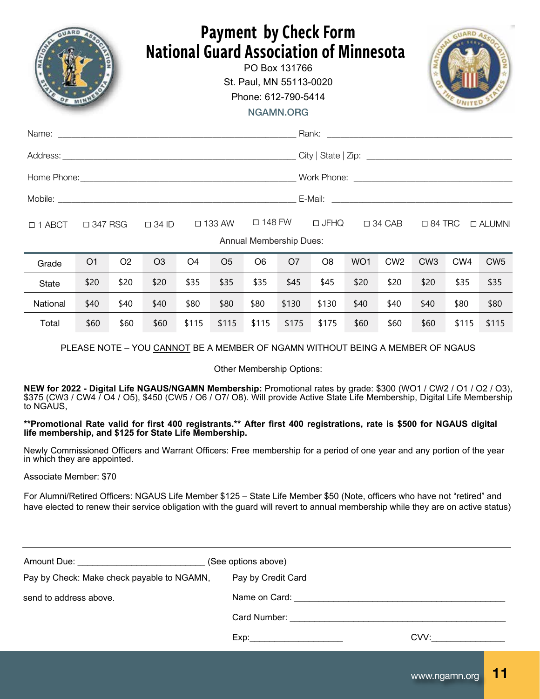|               | <b>Payment by Check Form</b><br><b>National Guard Association of Minnesota</b><br>PO Box 131766<br>St. Paul, MN 55113-0020<br>Phone: 612-790-5414<br><b>NGAMN.ORG</b> |                |                |                |                |                                                                                                |                |                |      |                 |                 |                 |                 |
|---------------|-----------------------------------------------------------------------------------------------------------------------------------------------------------------------|----------------|----------------|----------------|----------------|------------------------------------------------------------------------------------------------|----------------|----------------|------|-----------------|-----------------|-----------------|-----------------|
|               |                                                                                                                                                                       |                |                |                |                |                                                                                                |                |                |      |                 |                 |                 |                 |
|               |                                                                                                                                                                       |                |                |                |                |                                                                                                |                |                |      |                 |                 |                 |                 |
|               |                                                                                                                                                                       |                |                |                |                |                                                                                                |                |                |      |                 |                 |                 |                 |
|               |                                                                                                                                                                       |                |                |                |                |                                                                                                |                |                |      |                 |                 |                 |                 |
| $\Box$ 1 ABCT | $\Box$ 347 RSG                                                                                                                                                        |                |                |                |                | □ 133 AW □ 148 FW □ JFHQ □ 34 CAB □ 84 TRC □ ALUMNI<br>$\Box$ 34 ID<br>Annual Membership Dues: |                |                |      |                 |                 |                 |                 |
| Grade         | O <sub>1</sub>                                                                                                                                                        | O <sub>2</sub> | O <sub>3</sub> | O <sub>4</sub> | O <sub>5</sub> | O <sub>6</sub>                                                                                 | O <sub>7</sub> | O <sub>8</sub> | WO1  | CW <sub>2</sub> | CW <sub>3</sub> | CW <sub>4</sub> | CW <sub>5</sub> |
| <b>State</b>  | \$20                                                                                                                                                                  | \$20           | \$20           | \$35           | \$35           | \$35                                                                                           | \$45           | \$45           | \$20 | \$20            | \$20            | \$35            | \$35            |
| National      | \$40                                                                                                                                                                  | \$40           | \$40           | \$80           | \$80           | \$80                                                                                           | \$130          | \$130          | \$40 | \$40            | \$40            | \$80            | \$80            |
| Total         | \$60                                                                                                                                                                  | \$60           | \$60           | \$115          | \$115          | \$115                                                                                          | \$175          | \$175          | \$60 | \$60            | \$60            | \$115           | \$115           |

#### PLEASE NOTE – YOU CANNOT BE A MEMBER OF NGAMN WITHOUT BEING A MEMBER OF NGAUS

Other Membership Options:

NEW for 2022 - Digital Life NGAUS/NGAMN Membership: Promotional rates by grade: \$300 (WO1 / CW2 / O1 / O2 / O3), \$375 (CW3 / CW4 / O4 / O5), \$450 (CW5 / O6 / O7/ O8). Will provide Active State Life Membership, Digital Life to NGAUS,

#### **\*\*Promotional Rate valid for first 400 registrants.\*\* After first 400 registrations, rate is \$500 for NGAUS digital life membership, and \$125 for State Life Membership.**

Newly Commissioned Officers and Warrant Officers: Free membership for a period of one year and any portion of the year in which they are appointed.

Associate Member: \$70

For Alumni/Retired Officers: NGAUS Life Member \$125 – State Life Member \$50 (Note, officers who have not "retired" and have elected to renew their service obligation with the guard will revert to annual membership while they are on active status)

|                                            | (See options above)                                                                                                                                                                                                                  |      |
|--------------------------------------------|--------------------------------------------------------------------------------------------------------------------------------------------------------------------------------------------------------------------------------------|------|
| Pay by Check: Make check payable to NGAMN, | Pay by Credit Card                                                                                                                                                                                                                   |      |
| send to address above.                     | Name on Card: <u>Alexander State of Alexander State of Alexander State of Alexander State of Alexander State of Alexander State of Alexander State of Alexander State of Alexander State of Alexander State of Alexander State o</u> |      |
|                                            | Card Number: <u>________________________________</u>                                                                                                                                                                                 |      |
|                                            |                                                                                                                                                                                                                                      | CVV: |
|                                            |                                                                                                                                                                                                                                      |      |